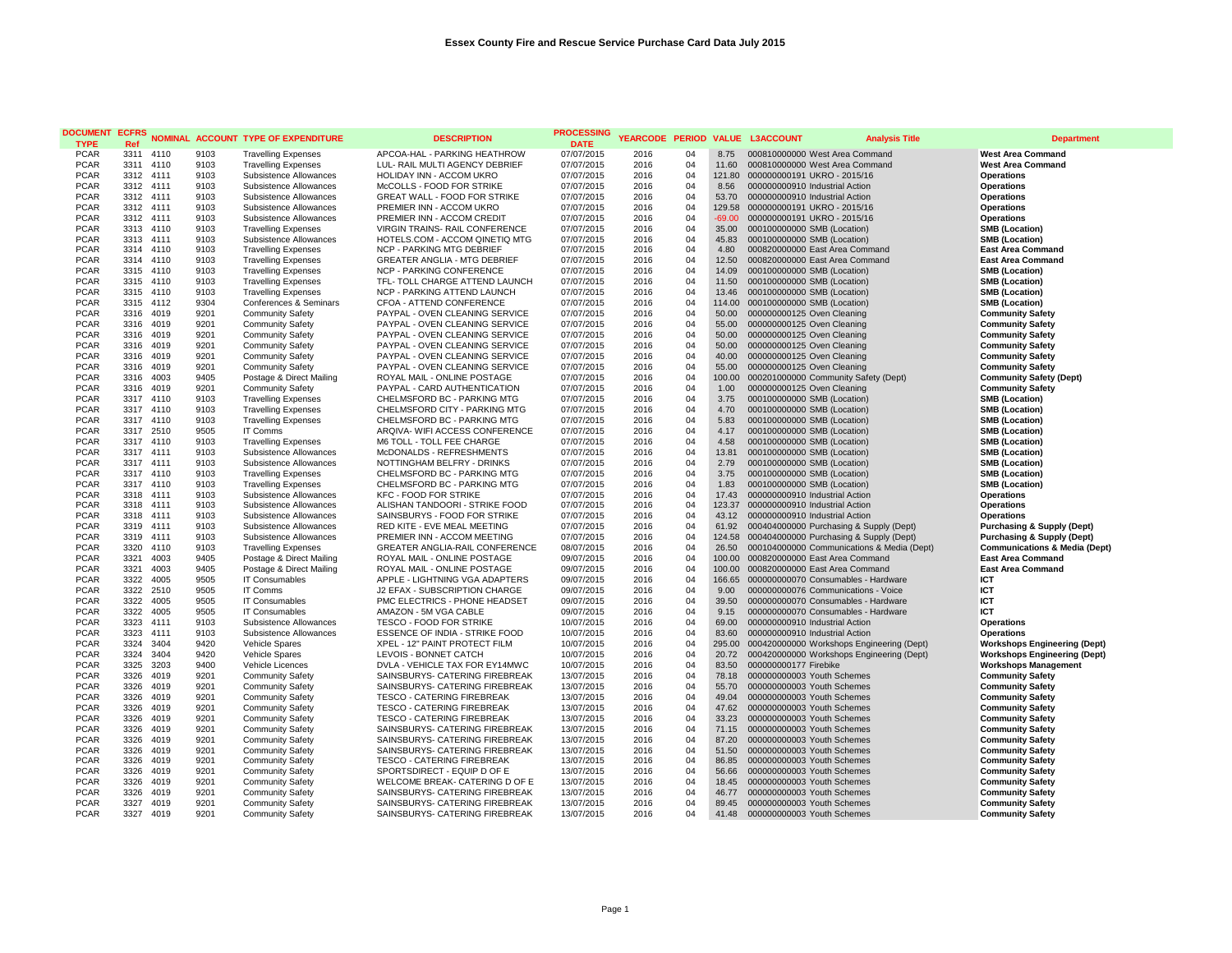| <b>DOCUMENT</b>            | <b>ECFRS</b>           |      |              | <b>NOMINAL ACCOUNT TYPE OF EXPENDITURE</b>               | <b>DESCRIPTION</b>                                           | <b>PROCESSING</b>        | YEARCODE PERIOD |          |                   | <b>VALUE L3ACCOUNT</b>                                     | <b>Analysis Title</b>                      | <b>Department</b>                                    |
|----------------------------|------------------------|------|--------------|----------------------------------------------------------|--------------------------------------------------------------|--------------------------|-----------------|----------|-------------------|------------------------------------------------------------|--------------------------------------------|------------------------------------------------------|
| <b>TYPE</b>                | Ref                    |      |              |                                                          |                                                              | <b>DATE</b>              |                 |          |                   |                                                            |                                            |                                                      |
| <b>PCAR</b>                | 3311 4110              |      | 9103         | <b>Travelling Expenses</b>                               | APCOA-HAL - PARKING HEATHROW                                 | 07/07/2015               | 2016            | 04       |                   | 8.75 000810000000 West Area Command                        |                                            | <b>West Area Command</b>                             |
| <b>PCAR</b>                | 3311 4110              |      | 9103         | <b>Travelling Expenses</b>                               | LUL- RAIL MULTI AGENCY DEBRIEF                               | 07/07/2015               | 2016            | 04       | 11.60             | 000810000000 West Area Command                             |                                            | <b>West Area Command</b>                             |
| <b>PCAR</b>                | 3312                   | 4111 | 9103         | Subsistence Allowances                                   | <b>HOLIDAY INN - ACCOM UKRO</b>                              | 07/07/2015               | 2016            | 04<br>04 | 121.80            | 000000000191 UKRO - 2015/16                                |                                            | <b>Operations</b>                                    |
| <b>PCAR</b>                | 3312 4111              |      | 9103         | Subsistence Allowances                                   | McCOLLS - FOOD FOR STRIKE                                    | 07/07/2015               | 2016            | 04       | 8.56              | 000000000910 Industrial Action                             |                                            | <b>Operations</b>                                    |
| <b>PCAR</b>                | 3312 4111              |      | 9103         | Subsistence Allowances                                   | GREAT WALL - FOOD FOR STRIKE                                 | 07/07/2015               | 2016            |          | 53.70             | 000000000910 Industrial Action                             |                                            | <b>Operations</b>                                    |
| <b>PCAR</b>                | 3312 4111              |      | 9103         | Subsistence Allowances                                   | PREMIER INN - ACCOM UKRO                                     | 07/07/2015               | 2016            | 04<br>04 |                   | 129.58 000000000191 UKRO - 2015/16                         |                                            | <b>Operations</b>                                    |
| <b>PCAR</b><br><b>PCAR</b> | 3312 4111<br>3313 4110 |      | 9103<br>9103 | Subsistence Allowances                                   | PREMIER INN - ACCOM CREDIT<br>VIRGIN TRAINS- RAIL CONFERENCE | 07/07/2015               | 2016            | 04       | $-69.00$<br>35.00 | 000000000191 UKRO - 2015/16                                |                                            | <b>Operations</b>                                    |
| <b>PCAR</b>                | 3313 4111              |      | 9103         | <b>Travelling Expenses</b>                               | HOTELS.COM - ACCOM QINETIQ MTG                               | 07/07/2015<br>07/07/2015 | 2016<br>2016    | 04       | 45.83             | 000100000000 SMB (Location)<br>000100000000 SMB (Location) |                                            | <b>SMB (Location)</b><br><b>SMB (Location)</b>       |
| <b>PCAR</b>                | 3314 4110              |      | 9103         | Subsistence Allowances                                   | NCP - PARKING MTG DEBRIEF                                    |                          | 2016            | 04       | 4.80              | 000820000000 East Area Command                             |                                            |                                                      |
| <b>PCAR</b>                | 3314 4110              |      | 9103         | <b>Travelling Expenses</b>                               | <b>GREATER ANGLIA - MTG DEBRIEF</b>                          | 07/07/2015<br>07/07/2015 | 2016            | 04       | 12.50             | 000820000000 East Area Command                             |                                            | <b>East Area Command</b><br><b>East Area Command</b> |
| <b>PCAR</b>                | 3315 4110              |      | 9103         | <b>Travelling Expenses</b><br><b>Travelling Expenses</b> | <b>NCP - PARKING CONFERENCE</b>                              | 07/07/2015               | 2016            | 04       | 14.09             | 000100000000 SMB (Location)                                |                                            | <b>SMB (Location)</b>                                |
| <b>PCAR</b>                | 3315 4110              |      | 9103         | <b>Travelling Expenses</b>                               | TFL- TOLL CHARGE ATTEND LAUNCH                               | 07/07/2015               | 2016            | 04       | 11.50             | 000100000000 SMB (Location)                                |                                            | <b>SMB</b> (Location)                                |
| <b>PCAR</b>                | 3315 4110              |      | 9103         | <b>Travelling Expenses</b>                               | NCP - PARKING ATTEND LAUNCH                                  | 07/07/2015               | 2016            | 04       | 13.46             | 000100000000 SMB (Location)                                |                                            | <b>SMB (Location)</b>                                |
| <b>PCAR</b>                | 3315 4112              |      | 9304         | Conferences & Seminars                                   | CFOA - ATTEND CONFERENCE                                     | 07/07/2015               | 2016            | 04       | 114.00            | 000100000000 SMB (Location)                                |                                            | <b>SMB (Location)</b>                                |
| <b>PCAR</b>                | 3316                   | 4019 | 9201         | <b>Community Safety</b>                                  | PAYPAL - OVEN CLEANING SERVICE                               | 07/07/2015               | 2016            | 04       | 50.00             | 000000000125 Oven Cleaning                                 |                                            | <b>Community Safety</b>                              |
| <b>PCAR</b>                | 3316 4019              |      | 9201         | <b>Community Safety</b>                                  | PAYPAL - OVEN CLEANING SERVICE                               | 07/07/2015               | 2016            | 04       | 55.00             | 000000000125 Oven Cleaning                                 |                                            | <b>Community Safety</b>                              |
| <b>PCAR</b>                | 3316 4019              |      | 9201         | <b>Community Safety</b>                                  | PAYPAL - OVEN CLEANING SERVICE                               | 07/07/2015               | 2016            | 04       | 50.00             | 000000000125 Oven Cleaning                                 |                                            | <b>Community Safety</b>                              |
| <b>PCAR</b>                | 3316                   | 4019 | 9201         | <b>Community Safety</b>                                  | PAYPAL - OVEN CLEANING SERVICE                               | 07/07/2015               | 2016            | 04       | 50.00             | 000000000125 Oven Cleaning                                 |                                            | <b>Community Safety</b>                              |
| <b>PCAR</b>                | 3316 4019              |      | 9201         | <b>Community Safety</b>                                  | PAYPAL - OVEN CLEANING SERVICE                               | 07/07/2015               | 2016            | 04       | 40.00             | 000000000125 Oven Cleaning                                 |                                            | <b>Community Safety</b>                              |
| <b>PCAR</b>                | 3316 4019              |      | 9201         | <b>Community Safety</b>                                  | PAYPAL - OVEN CLEANING SERVICE                               | 07/07/2015               | 2016            | 04       | 55.00             | 000000000125 Oven Cleaning                                 |                                            | <b>Community Safety</b>                              |
| <b>PCAR</b>                | 3316                   | 4003 | 9405         | Postage & Direct Mailing                                 | ROYAL MAIL - ONLINE POSTAGE                                  | 07/07/2015               | 2016            | 04       | 100.00            |                                                            | 000201000000 Community Safety (Dept)       | <b>Community Safety (Dept)</b>                       |
| <b>PCAR</b>                | 3316 4019              |      | 9201         | <b>Community Safety</b>                                  | PAYPAL - CARD AUTHENTICATION                                 | 07/07/2015               | 2016            | 04       | 1.00              | 000000000125 Oven Cleaning                                 |                                            | <b>Community Safety</b>                              |
| <b>PCAR</b>                | 3317 4110              |      | 9103         | <b>Travelling Expenses</b>                               | CHELMSFORD BC - PARKING MTG                                  | 07/07/2015               | 2016            | 04       | 3.75              | 000100000000 SMB (Location)                                |                                            | <b>SMB (Location)</b>                                |
| <b>PCAR</b>                | 3317 4110              |      | 9103         | <b>Travelling Expenses</b>                               | CHELMSFORD CITY - PARKING MTG                                | 07/07/2015               | 2016            | 04       | 4.70              | 000100000000 SMB (Location)                                |                                            | <b>SMB (Location)</b>                                |
| <b>PCAR</b>                | 3317 4110              |      | 9103         | <b>Travelling Expenses</b>                               | CHELMSFORD BC - PARKING MTG                                  | 07/07/2015               | 2016            | 04       | 5.83              | 000100000000 SMB (Location)                                |                                            | <b>SMB (Location)</b>                                |
| <b>PCAR</b>                | 3317 2510              |      | 9505         | <b>IT Comms</b>                                          | ARQIVA- WIFI ACCESS CONFERENCE                               | 07/07/2015               | 2016            | 04       | 4.17              | 000100000000 SMB (Location)                                |                                            | <b>SMB (Location)</b>                                |
| <b>PCAR</b>                | 3317                   | 4110 | 9103         | <b>Travelling Expenses</b>                               | M6 TOLL - TOLL FEE CHARGE                                    | 07/07/2015               | 2016            | 04       | 4.58              | 000100000000 SMB (Location)                                |                                            | <b>SMB (Location)</b>                                |
| <b>PCAR</b>                | 3317                   | 4111 | 9103         | Subsistence Allowances                                   | McDONALDS - REFRESHMENTS                                     | 07/07/2015               | 2016            | 04       | 13.81             | 000100000000 SMB (Location)                                |                                            | <b>SMB (Location)</b>                                |
| <b>PCAR</b>                | 3317 4111              |      | 9103         | Subsistence Allowances                                   | NOTTINGHAM BELFRY - DRINKS                                   | 07/07/2015               | 2016            | 04       | 2.79              | 000100000000 SMB (Location)                                |                                            | <b>SMB (Location)</b>                                |
| <b>PCAR</b>                | 3317 4110              |      | 9103         | <b>Travelling Expenses</b>                               | CHELMSFORD BC - PARKING MTG                                  | 07/07/2015               | 2016            | 04       | 3.75              | 000100000000 SMB (Location)                                |                                            | <b>SMB (Location)</b>                                |
| <b>PCAR</b>                | 3317 4110              |      | 9103         | <b>Travelling Expenses</b>                               | CHELMSFORD BC - PARKING MTG                                  | 07/07/2015               | 2016            | 04       | 1.83              | 000100000000 SMB (Location)                                |                                            | <b>SMB (Location)</b>                                |
| <b>PCAR</b>                | 3318 4111              |      | 9103         | Subsistence Allowances                                   | <b>KFC - FOOD FOR STRIKE</b>                                 | 07/07/2015               | 2016            | 04       | 17.43             | 000000000910 Industrial Action                             |                                            | <b>Operations</b>                                    |
| <b>PCAR</b>                | 3318 4111              |      | 9103         | Subsistence Allowances                                   | ALISHAN TANDOORI - STRIKE FOOD                               | 07/07/2015               | 2016            | 04       | 123.37            | 000000000910 Industrial Action                             |                                            | <b>Operations</b>                                    |
| <b>PCAR</b>                | 3318                   | 4111 | 9103         | Subsistence Allowances                                   | SAINSBURYS - FOOD FOR STRIKE                                 | 07/07/2015               | 2016            | 04       | 43.12             | 000000000910 Industrial Action                             |                                            | <b>Operations</b>                                    |
| <b>PCAR</b>                | 3319 4111              |      | 9103         | Subsistence Allowances                                   | RED KITE - EVE MEAL MEETING                                  | 07/07/2015               | 2016            | 04       | 61.92             |                                                            | 000404000000 Purchasing & Supply (Dept)    | <b>Purchasing &amp; Supply (Dept)</b>                |
| <b>PCAR</b>                | 3319 4111              |      | 9103         | Subsistence Allowances                                   | PREMIER INN - ACCOM MEETING                                  | 07/07/2015               | 2016            | 04       | 124.58            |                                                            | 000404000000 Purchasing & Supply (Dept)    | <b>Purchasing &amp; Supply (Dept)</b>                |
| <b>PCAR</b>                | 3320                   | 4110 | 9103         | <b>Travelling Expenses</b>                               | <b>GREATER ANGLIA-RAIL CONFERENCE</b>                        | 08/07/2015               | 2016            | 04       | 26.50             |                                                            | 000104000000 Communications & Media (Dept) | <b>Communications &amp; Media (Dept)</b>             |
| <b>PCAR</b>                | 3321                   | 4003 | 9405         | Postage & Direct Mailing                                 | ROYAL MAIL - ONLINE POSTAGE                                  | 09/07/2015               | 2016            | 04       |                   | 100.00 000820000000 East Area Command                      |                                            | <b>East Area Command</b>                             |
| <b>PCAR</b>                | 3321                   | 4003 | 9405         | Postage & Direct Mailing                                 | ROYAL MAIL - ONLINE POSTAGE                                  | 09/07/2015               | 2016            | 04       | 100.00            | 000820000000 East Area Command                             |                                            | <b>East Area Command</b>                             |
| <b>PCAR</b>                | 3322                   | 4005 | 9505         | <b>IT Consumables</b>                                    | APPLE - LIGHTNING VGA ADAPTERS                               | 09/07/2015               | 2016            | 04       | 166.65            |                                                            | 000000000070 Consumables - Hardware        | ICT                                                  |
| <b>PCAR</b>                | 3322                   | 2510 | 9505         | <b>IT Comms</b>                                          | J2 EFAX - SUBSCRIPTION CHARGE                                | 09/07/2015               | 2016            | 04       | 9.00              | 000000000076 Communications - Voice                        |                                            | ICT                                                  |
| <b>PCAR</b>                | 3322 4005              |      | 9505         | <b>IT Consumables</b>                                    | PMC ELECTRICS - PHONE HEADSET                                | 09/07/2015               | 2016            | 04       | 39.50             |                                                            | 000000000070 Consumables - Hardware        | <b>ICT</b>                                           |
| <b>PCAR</b>                | 3322                   | 4005 | 9505         | <b>IT Consumables</b>                                    | AMAZON - 5M VGA CABLE                                        | 09/07/2015               | 2016            | 04       | 9.15              |                                                            | 000000000070 Consumables - Hardware        | ICT                                                  |
| <b>PCAR</b>                | 3323                   | 4111 | 9103         | Subsistence Allowances                                   | TESCO - FOOD FOR STRIKE                                      | 10/07/2015               | 2016            | 04       | 69.00             | 000000000910 Industrial Action                             |                                            | <b>Operations</b>                                    |
| <b>PCAR</b>                | 3323 4111              |      | 9103         | Subsistence Allowances                                   | ESSENCE OF INDIA - STRIKE FOOD                               | 10/07/2015               | 2016            | 04       | 83.60             | 000000000910 Industrial Action                             |                                            | <b>Operations</b>                                    |
| <b>PCAR</b>                | 3324                   | 3404 | 9420         | Vehicle Spares                                           | XPEL - 12" PAINT PROTECT FILM                                | 10/07/2015               | 2016            | 04       | 295.00            |                                                            | 000420000000 Workshops Engineering (Dept)  | <b>Workshops Engineering (Dept)</b>                  |
| <b>PCAR</b>                | 3324                   | 3404 | 9420         | Vehicle Spares                                           | LEVOIS - BONNET CATCH                                        | 10/07/2015               | 2016            | 04       | 20.72             |                                                            | 000420000000 Workshops Engineering (Dept)  | <b>Workshops Engineering (Dept)</b>                  |
| <b>PCAR</b>                | 3325                   | 3203 | 9400         | Vehicle Licences                                         | DVLA - VEHICLE TAX FOR EY14MWC                               | 10/07/2015               | 2016            | 04       | 83.50             | 000000000177 Firebike                                      |                                            | <b>Workshops Management</b>                          |
| <b>PCAR</b>                | 3326                   | 4019 | 9201         | <b>Community Safety</b>                                  | SAINSBURYS- CATERING FIREBREAK                               | 13/07/2015               | 2016            | 04       | 78.18             | 000000000003 Youth Schemes                                 |                                            | <b>Community Safety</b>                              |
| <b>PCAR</b>                | 3326                   | 4019 | 9201         | <b>Community Safety</b>                                  | SAINSBURYS- CATERING FIREBREAK                               | 13/07/2015               | 2016            | 04       | 55.70             | 000000000003 Youth Schemes                                 |                                            | <b>Community Safety</b>                              |
| <b>PCAR</b>                | 3326                   | 4019 | 9201         | <b>Community Safety</b>                                  | <b>TESCO - CATERING FIREBREAK</b>                            | 13/07/2015               | 2016            | 04       | 49.04             | 000000000003 Youth Schemes                                 |                                            | <b>Community Safety</b>                              |
| <b>PCAR</b>                | 3326                   | 4019 | 9201         | <b>Community Safety</b>                                  | <b>TESCO - CATERING FIREBREAK</b>                            | 13/07/2015               | 2016            | 04       | 47.62             | 000000000003 Youth Schemes                                 |                                            | <b>Community Safety</b>                              |
| <b>PCAR</b>                | 3326                   | 4019 | 9201         | <b>Community Safety</b>                                  | TESCO - CATERING FIREBREAK                                   | 13/07/2015               | 2016            | 04       | 33.23             | 000000000003 Youth Schemes                                 |                                            | <b>Community Safety</b>                              |
| <b>PCAR</b>                | 3326                   | 4019 | 9201         | <b>Community Safety</b>                                  | SAINSBURYS- CATERING FIREBREAK                               | 13/07/2015               | 2016            | 04       | 71.15             | 000000000003 Youth Schemes                                 |                                            | <b>Community Safety</b>                              |
| <b>PCAR</b>                | 3326                   | 4019 | 9201         | <b>Community Safety</b>                                  | SAINSBURYS- CATERING FIREBREAK                               | 13/07/2015               | 2016            | 04       | 87.20             | 000000000003 Youth Schemes                                 |                                            | <b>Community Safety</b>                              |
| <b>PCAR</b>                | 3326                   | 4019 | 9201         | <b>Community Safety</b>                                  | SAINSBURYS- CATERING FIREBREAK                               | 13/07/2015               | 2016            | 04       | 51.50             | 000000000003 Youth Schemes                                 |                                            | <b>Community Safety</b>                              |
| <b>PCAR</b>                | 3326                   | 4019 | 9201         | <b>Community Safety</b>                                  | <b>TESCO - CATERING FIREBREAK</b>                            | 13/07/2015               | 2016            | 04       | 86.85             | 000000000003 Youth Schemes                                 |                                            | <b>Community Safety</b>                              |
| <b>PCAR</b>                | 3326                   | 4019 | 9201         | <b>Community Safety</b>                                  | SPORTSDIRECT - EQUIP D OF E                                  | 13/07/2015               | 2016            | 04       | 56.66             | 000000000003 Youth Schemes                                 |                                            | <b>Community Safety</b>                              |
| <b>PCAR</b>                | 3326                   | 4019 | 9201         | Community Safety                                         | WELCOME BREAK- CATERING D OF E                               | 13/07/2015               | 2016            | 04<br>04 | 18.45             | 000000000003 Youth Schemes                                 |                                            | <b>Community Safety</b>                              |
| <b>PCAR</b>                | 3326<br>3327 4019      | 4019 | 9201<br>9201 | Community Safety                                         | SAINSBURYS- CATERING FIREBREAK                               | 13/07/2015               | 2016            | 04       | 46.77<br>89.45    | 000000000003 Youth Schemes                                 |                                            | <b>Community Safety</b>                              |
| <b>PCAR</b>                |                        |      |              | <b>Community Safety</b>                                  | SAINSBURYS- CATERING FIREBREAK                               | 13/07/2015               | 2016            |          |                   | 000000000003 Youth Schemes                                 |                                            | <b>Community Safety</b>                              |
| <b>PCAR</b>                | 3327                   | 4019 | 9201         | <b>Community Safety</b>                                  | SAINSBURYS- CATERING FIREBREAK                               | 13/07/2015               | 2016            | 04       | 41.48             | 000000000003 Youth Schemes                                 |                                            | <b>Community Safety</b>                              |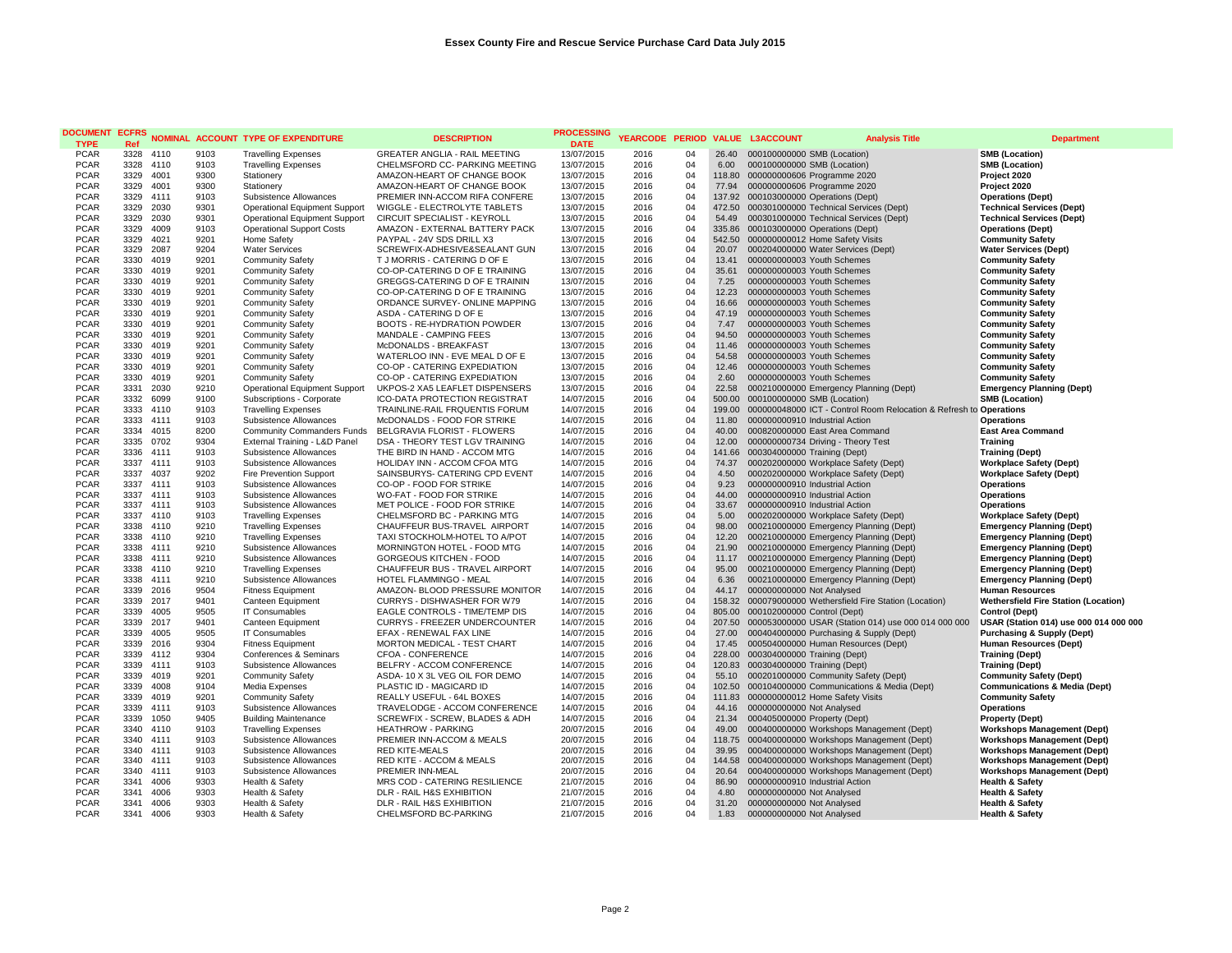| <b>DOCUMENT</b>            | <b>ECFRS</b>      |              |              | <b>NOMINAL ACCOUNT TYPE OF EXPENDITURE</b>                         | <b>DESCRIPTION</b>                                              | PROCESSING               |              |          |                  | YEARCODE PERIOD VALUE L3ACCOUNT                                      | <b>Analysis Title</b>                                              | <b>Department</b>                                        |
|----------------------------|-------------------|--------------|--------------|--------------------------------------------------------------------|-----------------------------------------------------------------|--------------------------|--------------|----------|------------------|----------------------------------------------------------------------|--------------------------------------------------------------------|----------------------------------------------------------|
| <b>TYPE</b>                | Ref               |              |              |                                                                    |                                                                 | <b>DATE</b>              |              |          |                  |                                                                      |                                                                    |                                                          |
| <b>PCAR</b>                | 3328 4110         |              | 9103         | <b>Travelling Expenses</b>                                         | <b>GREATER ANGLIA - RAIL MEETING</b>                            | 13/07/2015               | 2016         | 04       | 26.40            | 000100000000 SMB (Location)                                          |                                                                    | <b>SMB (Location)</b>                                    |
| <b>PCAR</b><br><b>PCAR</b> | 3328 4110         | 4001         | 9103<br>9300 | <b>Travelling Expenses</b>                                         | CHELMSFORD CC- PARKING MEETING<br>AMAZON-HEART OF CHANGE BOOK   | 13/07/2015               | 2016         | 04<br>04 | 6.00             | 000100000000 SMB (Location)                                          |                                                                    | <b>SMB (Location)</b>                                    |
| <b>PCAR</b>                | 3329<br>3329 4001 |              | 9300         | Stationery<br>Stationery                                           | AMAZON-HEART OF CHANGE BOOK                                     | 13/07/2015<br>13/07/2015 | 2016<br>2016 | 04       | 118.80<br>77.94  | 000000000606 Programme 2020<br>000000000606 Programme 2020           |                                                                    | Project 2020<br>Project 2020                             |
| <b>PCAR</b>                | 3329 4111         |              | 9103         | Subsistence Allowances                                             | PREMIER INN-ACCOM RIFA CONFERE                                  | 13/07/2015               | 2016         | 04       | 137.92           | 000103000000 Operations (Dept)                                       |                                                                    | <b>Operations (Dept)</b>                                 |
| <b>PCAR</b>                | 3329 2030         |              | 9301         | Operational Equipment Support                                      | WIGGLE - ELECTROLYTE TABLETS                                    | 13/07/2015               | 2016         | 04       | 472.50           | 000301000000 Technical Services (Dept)                               |                                                                    | <b>Technical Services (Dept)</b>                         |
| <b>PCAR</b>                | 3329 2030         |              | 9301         | Operational Equipment Support                                      | CIRCUIT SPECIALIST - KEYROLL                                    | 13/07/2015               | 2016         | 04       | 54.49            | 000301000000 Technical Services (Dept)                               |                                                                    | <b>Technical Services (Dept)</b>                         |
| <b>PCAR</b>                | 3329              | 4009         | 9103         | <b>Operational Support Costs</b>                                   | AMAZON - EXTERNAL BATTERY PACK                                  | 13/07/2015               | 2016         | 04       | 335.86           | 000103000000 Operations (Dept)                                       |                                                                    | <b>Operations (Dept)</b>                                 |
| <b>PCAR</b>                | 3329              | 4021         | 9201         | Home Safety                                                        | PAYPAL - 24V SDS DRILL X3                                       | 13/07/2015               | 2016         | 04       | 542.50           | 000000000012 Home Safety Visits                                      |                                                                    | <b>Community Safety</b>                                  |
| <b>PCAR</b>                | 3329 2087         |              | 9204         | <b>Water Services</b>                                              | SCREWFIX-ADHESIVE&SEALANT GUN                                   | 13/07/2015               | 2016         | 04       | 20.07            | 000204000000 Water Services (Dept)                                   |                                                                    | <b>Water Services (Dept)</b>                             |
| <b>PCAR</b>                | 3330              | 4019         | 9201         | <b>Community Safety</b>                                            | T J MORRIS - CATERING D OF E                                    | 13/07/2015               | 2016         | 04       | 13.41            | 000000000003 Youth Schemes                                           |                                                                    | <b>Community Safety</b>                                  |
| <b>PCAR</b>                | 3330              | 4019         | 9201         | <b>Community Safety</b>                                            | CO-OP-CATERING D OF E TRAINING                                  | 13/07/2015               | 2016         | 04       | 35.61            | 000000000003 Youth Schemes                                           |                                                                    | <b>Community Safety</b>                                  |
| <b>PCAR</b>                | 3330              | 4019         | 9201         | <b>Community Safety</b>                                            | GREGGS-CATERING D OF E TRAININ                                  | 13/07/2015               | 2016         | 04       | 7.25             | 000000000003 Youth Schemes                                           |                                                                    | <b>Community Safety</b>                                  |
| <b>PCAR</b>                | 3330              | 4019         | 9201         | <b>Community Safety</b>                                            | CO-OP-CATERING D OF E TRAINING                                  | 13/07/2015               | 2016         | 04       | 12.23            | 000000000003 Youth Schemes                                           |                                                                    | <b>Community Safety</b>                                  |
| <b>PCAR</b>                | 3330              | 4019         | 9201         | <b>Community Safety</b>                                            | ORDANCE SURVEY- ONLINE MAPPING                                  | 13/07/2015               | 2016         | 04       | 16.66            | 000000000003 Youth Schemes                                           |                                                                    | <b>Community Safety</b>                                  |
| <b>PCAR</b>                | 3330              | 4019         | 9201         | <b>Community Safety</b>                                            | ASDA - CATERING D OF E                                          | 13/07/2015               | 2016         | 04       | 47.19            | 000000000003 Youth Schemes                                           |                                                                    | <b>Community Safety</b>                                  |
| <b>PCAR</b>                | 3330 4019         |              | 9201         | <b>Community Safety</b>                                            | <b>BOOTS - RE-HYDRATION POWDER</b>                              | 13/07/2015               | 2016         | 04       | 7.47             | 000000000003 Youth Schemes                                           |                                                                    | <b>Community Safety</b>                                  |
| <b>PCAR</b>                | 3330 4019         |              | 9201         | <b>Community Safety</b>                                            | MANDALE - CAMPING FEES                                          | 13/07/2015               | 2016         | 04       | 94.50            | 000000000003 Youth Schemes                                           |                                                                    | <b>Community Safety</b>                                  |
| <b>PCAR</b>                | 3330              | 4019         | 9201         | <b>Community Safety</b>                                            | McDONALDS - BREAKFAST                                           | 13/07/2015               | 2016         | 04       | 11.46            | 000000000003 Youth Schemes                                           |                                                                    | <b>Community Safety</b>                                  |
| <b>PCAR</b>                | 3330 4019         |              | 9201         | <b>Community Safety</b>                                            | WATERLOO INN - EVE MEAL D OF E                                  | 13/07/2015               | 2016         | 04       | 54.58            | 000000000003 Youth Schemes                                           |                                                                    | <b>Community Safety</b>                                  |
| <b>PCAR</b>                | 3330              | 4019         | 9201         | <b>Community Safety</b>                                            | CO-OP - CATERING EXPEDIATION                                    | 13/07/2015               | 2016         | 04       | 12.46            | 000000000003 Youth Schemes                                           |                                                                    | <b>Community Safety</b>                                  |
| <b>PCAR</b>                | 3330              | 4019         | 9201         | <b>Community Safety</b>                                            | CO-OP - CATERING EXPEDIATION                                    | 13/07/2015               | 2016         | 04       | 2.60             | 000000000003 Youth Schemes                                           |                                                                    | <b>Community Safety</b>                                  |
| <b>PCAR</b>                | 3331 2030         |              | 9210         | Operational Equipment Support                                      | UKPOS-2 XA5 LEAFLET DISPENSERS                                  | 13/07/2015               | 2016         | 04       | 22.58            | 000210000000 Emergency Planning (Dept)                               |                                                                    | <b>Emergency Planning (Dept)</b>                         |
| <b>PCAR</b>                | 3332              | 6099         | 9100         | Subscriptions - Corporate                                          | <b>ICO-DATA PROTECTION REGISTRAT</b>                            | 14/07/2015               | 2016         | 04       | 500.00           | 000100000000 SMB (Location)                                          |                                                                    | <b>SMB (Location)</b>                                    |
| <b>PCAR</b>                | 3333              | 4110         | 9103         | <b>Travelling Expenses</b>                                         | TRAINLINE-RAIL FRQUENTIS FORUM                                  | 14/07/2015               | 2016         | 04<br>04 | 199.00           |                                                                      | 000000048000 ICT - Control Room Relocation & Refresh to Operations |                                                          |
| <b>PCAR</b><br><b>PCAR</b> | 3333 4111<br>3334 |              | 9103         | Subsistence Allowances                                             | McDONALDS - FOOD FOR STRIKE                                     | 14/07/2015               | 2016         |          | 11.80<br>40.00   | 000000000910 Industrial Action                                       |                                                                    | <b>Operations</b><br><b>East Area Command</b>            |
| <b>PCAR</b>                | 3335              | 4015<br>0702 | 8200<br>9304 | <b>Community Commanders Funds</b><br>External Training - L&D Panel | BELGRAVIA FLORIST - FLOWERS<br>DSA - THEORY TEST LGV TRAINING   | 14/07/2015<br>14/07/2015 | 2016<br>2016 | 04<br>04 | 12.00            | 000820000000 East Area Command<br>000000000734 Driving - Theory Test |                                                                    | <b>Training</b>                                          |
| <b>PCAR</b>                | 3336              | 4111         | 9103         | Subsistence Allowances                                             | THE BIRD IN HAND - ACCOM MTG                                    | 14/07/2015               | 2016         | 04       | 141.66           | 000304000000 Training (Dept)                                         |                                                                    | <b>Training (Dept)</b>                                   |
| <b>PCAR</b>                | 3337 4111         |              | 9103         | Subsistence Allowances                                             | HOLIDAY INN - ACCOM CFOA MTG                                    | 14/07/2015               | 2016         | 04       | 74.37            | 000202000000 Workplace Safety (Dept)                                 |                                                                    | <b>Workplace Safety (Dept)</b>                           |
| <b>PCAR</b>                | 3337              | 4037         | 9202         | <b>Fire Prevention Support</b>                                     | SAINSBURYS- CATERING CPD EVENT                                  | 14/07/2015               | 2016         | 04       | 4.50             | 000202000000 Workplace Safety (Dept)                                 |                                                                    | <b>Workplace Safety (Dept)</b>                           |
| <b>PCAR</b>                | 3337 4111         |              | 9103         | Subsistence Allowances                                             | CO-OP - FOOD FOR STRIKE                                         | 14/07/2015               | 2016         | 04       | 9.23             | 000000000910 Industrial Action                                       |                                                                    | <b>Operations</b>                                        |
| <b>PCAR</b>                | 3337 4111         |              | 9103         | Subsistence Allowances                                             | WO-FAT - FOOD FOR STRIKE                                        | 14/07/2015               | 2016         | 04       | 44.00            | 000000000910 Industrial Action                                       |                                                                    | <b>Operations</b>                                        |
| <b>PCAR</b>                | 3337              | 4111         | 9103         | Subsistence Allowances                                             | MET POLICE - FOOD FOR STRIKE                                    | 14/07/2015               | 2016         | 04       | 33.67            | 000000000910 Industrial Action                                       |                                                                    | <b>Operations</b>                                        |
| <b>PCAR</b>                | 3337              | 4110         | 9103         | <b>Travelling Expenses</b>                                         | CHELMSFORD BC - PARKING MTG                                     | 14/07/2015               | 2016         | 04       | 5.00             | 000202000000 Workplace Safety (Dept)                                 |                                                                    | <b>Workplace Safety (Dept)</b>                           |
| <b>PCAR</b>                | 3338 4110         |              | 9210         | <b>Travelling Expenses</b>                                         | CHAUFFEUR BUS-TRAVEL AIRPORT                                    | 14/07/2015               | 2016         | 04       | 98.00            | 000210000000 Emergency Planning (Dept)                               |                                                                    | <b>Emergency Planning (Dept)</b>                         |
| <b>PCAR</b>                | 3338 4110         |              | 9210         | <b>Travelling Expenses</b>                                         | TAXI STOCKHOLM-HOTEL TO A/POT                                   | 14/07/2015               | 2016         | 04       | 12.20            | 000210000000 Emergency Planning (Dept)                               |                                                                    | <b>Emergency Planning (Dept)</b>                         |
| <b>PCAR</b>                | 3338              | 4111         | 9210         | Subsistence Allowances                                             | MORNINGTON HOTEL - FOOD MTG                                     | 14/07/2015               | 2016         | 04       | 21.90            | 000210000000 Emergency Planning (Dept)                               |                                                                    | <b>Emergency Planning (Dept)</b>                         |
| <b>PCAR</b>                | 3338 4111         |              | 9210         | Subsistence Allowances                                             | <b>GORGEOUS KITCHEN - FOOD</b>                                  | 14/07/2015               | 2016         | 04       | 11.17            | 000210000000 Emergency Planning (Dept)                               |                                                                    | <b>Emergency Planning (Dept)</b>                         |
| <b>PCAR</b>                | 3338              | 4110         | 9210         | <b>Travelling Expenses</b>                                         | CHAUFFEUR BUS - TRAVEL AIRPORT                                  | 14/07/2015               | 2016         | 04       | 95.00            | 000210000000 Emergency Planning (Dept)                               |                                                                    | <b>Emergency Planning (Dept)</b>                         |
| <b>PCAR</b>                | 3338              | 4111         | 9210         | Subsistence Allowances                                             | HOTEL FLAMMINGO - MEAL                                          | 14/07/2015               | 2016         | 04       | 6.36             | 000210000000 Emergency Planning (Dept)                               |                                                                    | <b>Emergency Planning (Dept)</b>                         |
| <b>PCAR</b>                | 3339 2016         |              | 9504         | <b>Fitness Equipment</b>                                           | AMAZON- BLOOD PRESSURE MONITOR                                  | 14/07/2015               | 2016         | 04       | 44.17            | 000000000000 Not Analysed                                            |                                                                    | <b>Human Resources</b>                                   |
| <b>PCAR</b>                | 3339 2017         |              | 9401         | Canteen Equipment                                                  | CURRYS - DISHWASHER FOR W79                                     | 14/07/2015               | 2016         | 04       | 158.32           | 000079000000 Wethersfield Fire Station (Location)                    |                                                                    | <b>Wethersfield Fire Station (Location)</b>              |
| <b>PCAR</b><br><b>PCAR</b> | 3339<br>3339 2017 | 4005         | 9505<br>9401 | <b>IT Consumables</b><br>Canteen Equipment                         | EAGLE CONTROLS - TIME/TEMP DIS<br>CURRYS - FREEZER UNDERCOUNTER | 14/07/2015<br>14/07/2015 | 2016<br>2016 | 04<br>04 | 805.00<br>207.50 | 000102000000 Control (Dept)                                          | 000053000000 USAR (Station 014) use 000 014 000 000                | Control (Dept)<br>USAR (Station 014) use 000 014 000 000 |
| <b>PCAR</b>                | 3339              | 4005         | 9505         | <b>IT Consumables</b>                                              | EFAX - RENEWAL FAX LINE                                         | 14/07/2015               | 2016         | 04       | 27.00            | 000404000000 Purchasing & Supply (Dept)                              |                                                                    | <b>Purchasing &amp; Supply (Dept)</b>                    |
| <b>PCAR</b>                | 3339              | 2016         | 9304         | <b>Fitness Equipment</b>                                           | MORTON MEDICAL - TEST CHART                                     | 14/07/2015               | 2016         | 04       | 17.45            | 000504000000 Human Resources (Dept)                                  |                                                                    | <b>Human Resources (Dept)</b>                            |
| <b>PCAR</b>                | 3339              | 4112         | 9304         | Conferences & Seminars                                             | CFOA - CONFERENCE                                               | 14/07/2015               | 2016         | 04       | 228.00           | 000304000000 Training (Dept)                                         |                                                                    | <b>Training (Dept)</b>                                   |
| <b>PCAR</b>                | 3339 4111         |              | 9103         | Subsistence Allowances                                             | BELFRY - ACCOM CONFERENCE                                       | 14/07/2015               | 2016         | 04       | 120.83           | 000304000000 Training (Dept)                                         |                                                                    | <b>Training (Dept)</b>                                   |
| <b>PCAR</b>                | 3339 4019         |              | 9201         | <b>Community Safety</b>                                            | ASDA- 10 X 3L VEG OIL FOR DEMO                                  | 14/07/2015               | 2016         | 04       | 55.10            | 000201000000 Community Safety (Dept)                                 |                                                                    | <b>Community Safety (Dept)</b>                           |
| <b>PCAR</b>                | 3339              | 4008         | 9104         | Media Expenses                                                     | PLASTIC ID - MAGICARD ID                                        | 14/07/2015               | 2016         | 04       | 102.50           | 000104000000 Communications & Media (Dept)                           |                                                                    | <b>Communications &amp; Media (Dept)</b>                 |
| <b>PCAR</b>                | 3339              | 4019         | 9201         | <b>Community Safety</b>                                            | <b>REALLY USEFUL - 64L BOXES</b>                                | 14/07/2015               | 2016         | 04       | 111.83           | 000000000012 Home Safety Visits                                      |                                                                    | <b>Community Safety</b>                                  |
| <b>PCAR</b>                | 3339              | 4111         | 9103         | Subsistence Allowances                                             | TRAVELODGE - ACCOM CONFERENCE                                   | 14/07/2015               | 2016         | 04       | 44.16            | 000000000000 Not Analysed                                            |                                                                    | <b>Operations</b>                                        |
| <b>PCAR</b>                | 3339              | 1050         | 9405         | <b>Building Maintenance</b>                                        | SCREWFIX - SCREW, BLADES & ADH                                  | 14/07/2015               | 2016         | 04       | 21.34            | 000405000000 Property (Dept)                                         |                                                                    | <b>Property (Dept)</b>                                   |
| <b>PCAR</b>                | 3340 4110         |              | 9103         | <b>Travelling Expenses</b>                                         | <b>HEATHROW - PARKING</b>                                       | 20/07/2015               | 2016         | 04       | 49.00            | 000400000000 Workshops Management (Dept)                             |                                                                    | <b>Workshops Management (Dept)</b>                       |
| <b>PCAR</b>                | 3340 4111         |              | 9103         | Subsistence Allowances                                             | PREMIER INN-ACCOM & MEALS                                       | 20/07/2015               | 2016         | 04       | 118.75           | 000400000000 Workshops Management (Dept)                             |                                                                    | <b>Workshops Management (Dept)</b>                       |
| <b>PCAR</b>                | 3340              | 4111         | 9103         | Subsistence Allowances                                             | <b>RED KITE-MEALS</b>                                           | 20/07/2015               | 2016         | 04       | 39.95            | 000400000000 Workshops Management (Dept)                             |                                                                    | <b>Workshops Management (Dept)</b>                       |
| <b>PCAR</b>                | 3340 4111         |              | 9103         | Subsistence Allowances                                             | RED KITE - ACCOM & MEALS                                        | 20/07/2015               | 2016         | 04       | 144.58           | 000400000000 Workshops Management (Dept)                             |                                                                    | <b>Workshops Management (Dept)</b>                       |
| <b>PCAR</b>                | 3340              | 4111         | 9103         | Subsistence Allowances                                             | PREMIER INN-MEAL                                                | 20/07/2015               | 2016         | 04       | 20.64            | 000400000000 Workshops Management (Dept)                             |                                                                    | <b>Workshops Management (Dept)</b>                       |
| <b>PCAR</b>                | 3341              | 4006         | 9303         | Health & Safety                                                    | MRS COD - CATERING RESILIENCE                                   | 21/07/2015               | 2016         | 04       | 86.90            | 000000000910 Industrial Action                                       |                                                                    | <b>Health &amp; Safety</b>                               |
| <b>PCAR</b>                | 3341              | 4006         | 9303         | Health & Safety                                                    | DLR - RAIL H&S EXHIBITION                                       | 21/07/2015               | 2016         | 04       | 4.80             | 000000000000 Not Analysed                                            |                                                                    | <b>Health &amp; Safety</b>                               |
| <b>PCAR</b>                | 3341              | 4006         | 9303         | Health & Safety                                                    | DLR - RAIL H&S EXHIBITION                                       | 21/07/2015               | 2016         | 04       | 31.20            | 000000000000 Not Analysed                                            |                                                                    | <b>Health &amp; Safety</b>                               |
| <b>PCAR</b>                | 3341              | 4006         | 9303         | Health & Safety                                                    | CHELMSFORD BC-PARKING                                           | 21/07/2015               | 2016         | 04       | 1.83             | 000000000000 Not Analysed                                            |                                                                    | <b>Health &amp; Safety</b>                               |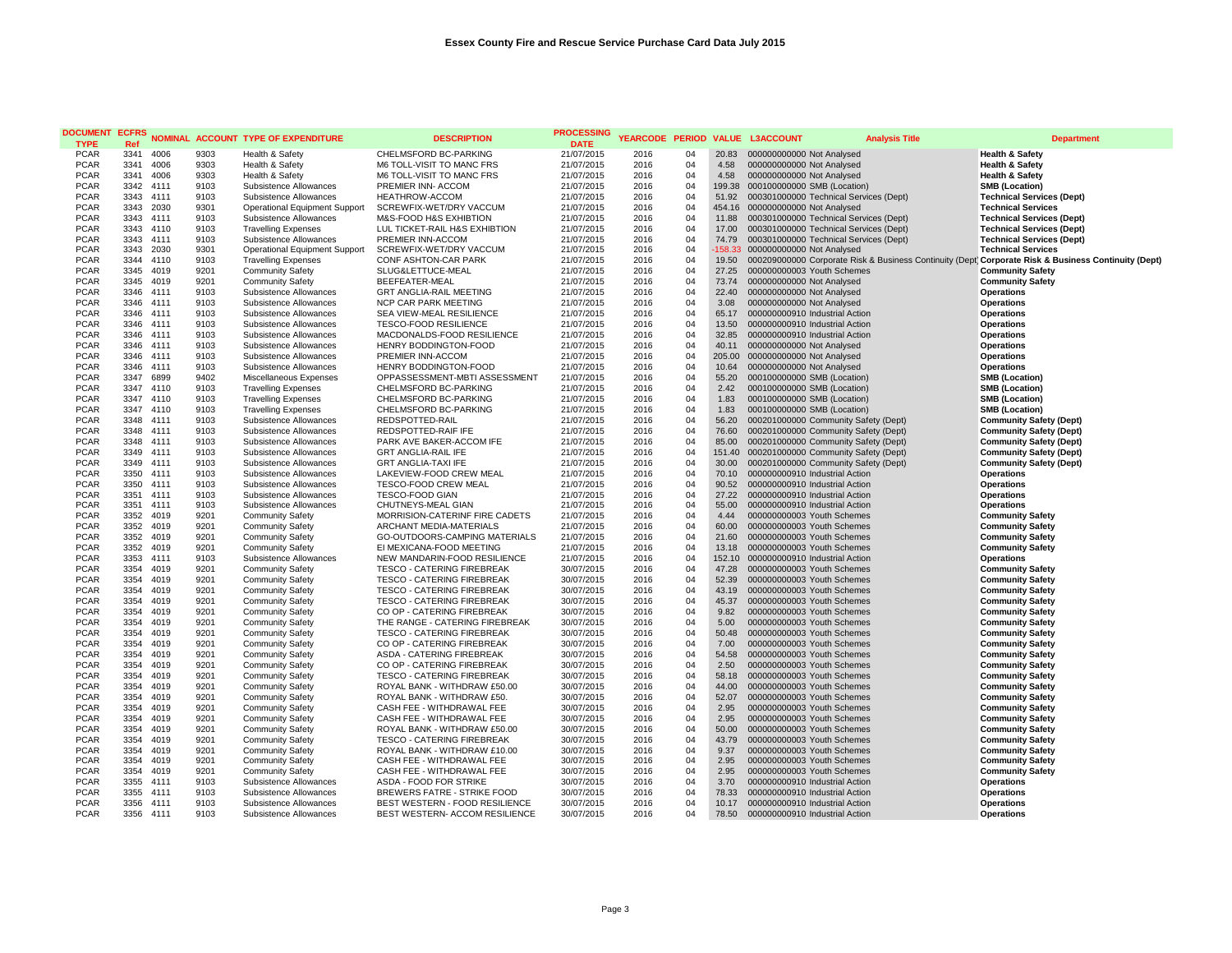| <b>DOCUMENT</b><br><b>TYPE</b> | <b>ECFRS</b><br>Ref |              |              | NOMINAL ACCOUNT TYPE OF EXPENDITURE                | <b>DESCRIPTION</b>                                         | PROCESSING<br><b>DATE</b> |              |          |                | YEARCODE PERIOD VALUE L3ACCOUNT                          | <b>Analysis Title</b>                                  | <b>Department</b>                                  |
|--------------------------------|---------------------|--------------|--------------|----------------------------------------------------|------------------------------------------------------------|---------------------------|--------------|----------|----------------|----------------------------------------------------------|--------------------------------------------------------|----------------------------------------------------|
| <b>PCAR</b>                    | 3341                | 4006         | 9303         | Health & Safety                                    | CHELMSFORD BC-PARKING                                      | 21/07/2015                | 2016         | 04       |                | 20.83 000000000000 Not Analysed                          |                                                        | <b>Health &amp; Safety</b>                         |
| <b>PCAR</b>                    | 3341                | 4006         | 9303         | Health & Safety                                    | M6 TOLL-VISIT TO MANC FRS                                  | 21/07/2015                | 2016         | 04       | 4.58           | 000000000000 Not Analysed                                |                                                        | <b>Health &amp; Safety</b>                         |
| <b>PCAR</b>                    | 3341                | 4006         | 9303         | Health & Safety                                    | M6 TOLL-VISIT TO MANC FRS                                  | 21/07/2015                | 2016         | 04       | 4.58           | 000000000000 Not Analysed                                |                                                        | <b>Health &amp; Safety</b>                         |
| <b>PCAR</b>                    | 3342                | 4111         | 9103         | Subsistence Allowances                             | PREMIER INN- ACCOM                                         | 21/07/2015                | 2016         | 04       |                | 199.38 000100000000 SMB (Location)                       |                                                        | <b>SMB (Location)</b>                              |
| <b>PCAR</b>                    | 3343                | 4111         | 9103         | Subsistence Allowances                             | <b>HEATHROW-ACCOM</b>                                      | 21/07/2015                | 2016         | 04       |                | 51.92  000301000000 Technical Services (Dept)            |                                                        | <b>Technical Services (Dept)</b>                   |
| <b>PCAR</b>                    | 3343                | 2030         | 9301         | Operational Equipment Support                      | SCREWFIX-WET/DRY VACCUM                                    | 21/07/2015                | 2016         | 04       | 454.16         | 000000000000 Not Analysed                                |                                                        | <b>Technical Services</b>                          |
| <b>PCAR</b>                    | 3343                | 4111         | 9103         | Subsistence Allowances                             | M&S-FOOD H&S EXHIBTION                                     | 21/07/2015                | 2016         | 04       | 11.88          | 000301000000 Technical Services (Dept)                   |                                                        | <b>Technical Services (Dept)</b>                   |
| <b>PCAR</b>                    | 3343                | 4110         | 9103         | <b>Travelling Expenses</b>                         | LUL TICKET-RAIL H&S EXHIBTION                              | 21/07/2015                | 2016         | 04       | 17.00          | 000301000000 Technical Services (Dept)                   |                                                        | <b>Technical Services (Dept)</b>                   |
| <b>PCAR</b>                    | 3343                | 4111         | 9103         | Subsistence Allowances                             | PREMIER INN-ACCOM                                          | 21/07/2015                | 2016         | 04       | 74.79          | 000301000000 Technical Services (Dept)                   |                                                        | <b>Technical Services (Dept)</b>                   |
| <b>PCAR</b>                    | 3343                | 2030         | 9301         | Operational Equipment Support                      | SCREWFIX-WET/DRY VACCUM                                    | 21/07/2015                | 2016         | 04       | $-158.33$      | 000000000000 Not Analysed                                |                                                        | <b>Technical Services</b>                          |
| <b>PCAR</b>                    | 3344                | 4110<br>4019 | 9103         | <b>Travelling Expenses</b>                         | <b>CONF ASHTON-CAR PARK</b>                                | 21/07/2015                | 2016         | 04       | 19.50          |                                                          | 000209000000 Corporate Risk & Business Continuity (Dep | Corporate Risk & Business Continuity (Dept)        |
| <b>PCAR</b><br><b>PCAR</b>     | 3345<br>3345 4019   |              | 9201<br>9201 | <b>Community Safety</b><br><b>Community Safety</b> | SLUG&LETTUCE-MEAL<br>BEEFEATER-MEAL                        | 21/07/2015<br>21/07/2015  | 2016<br>2016 | 04<br>04 | 27.25<br>73.74 | 000000000003 Youth Schemes<br>000000000000 Not Analysed  |                                                        | <b>Community Safety</b><br><b>Community Safety</b> |
| <b>PCAR</b>                    | 3346 4111           |              | 9103         | Subsistence Allowances                             | <b>GRT ANGLIA-RAIL MEETING</b>                             |                           | 2016         | 04       | 22.40          | 000000000000 Not Analysed                                |                                                        | <b>Operations</b>                                  |
| <b>PCAR</b>                    | 3346                | 4111         | 9103         | Subsistence Allowances                             | NCP CAR PARK MEETING                                       | 21/07/2015<br>21/07/2015  | 2016         | 04       | 3.08           | 000000000000 Not Analysed                                |                                                        | <b>Operations</b>                                  |
| <b>PCAR</b>                    | 3346                | 4111         | 9103         | Subsistence Allowances                             | SEA VIEW-MEAL RESILIENCE                                   | 21/07/2015                | 2016         | 04       | 65.17          | 000000000910 Industrial Action                           |                                                        | <b>Operations</b>                                  |
| <b>PCAR</b>                    | 3346                | 4111         | 9103         | Subsistence Allowances                             | <b>TESCO-FOOD RESILIENCE</b>                               | 21/07/2015                | 2016         | 04       | 13.50          | 000000000910 Industrial Action                           |                                                        | Operations                                         |
| <b>PCAR</b>                    | 3346 4111           |              | 9103         | Subsistence Allowances                             | MACDONALDS-FOOD RESILIENCE                                 | 21/07/2015                | 2016         | 04       | 32.85          | 000000000910 Industrial Action                           |                                                        | Operations                                         |
| <b>PCAR</b>                    | 3346 4111           |              | 9103         | Subsistence Allowances                             | HENRY BODDINGTON-FOOD                                      | 21/07/2015                | 2016         | 04       | 40.11          | 000000000000 Not Analysed                                |                                                        | Operations                                         |
| <b>PCAR</b>                    | 3346 4111           |              | 9103         | Subsistence Allowances                             | PREMIER INN-ACCOM                                          | 21/07/2015                | 2016         | 04       |                | 205.00 000000000000 Not Analysed                         |                                                        | Operations                                         |
| <b>PCAR</b>                    | 3346                | 4111         | 9103         | Subsistence Allowances                             | HENRY BODDINGTON-FOOD                                      | 21/07/2015                | 2016         | 04       | 10.64          | 000000000000 Not Analysed                                |                                                        | Operations                                         |
| <b>PCAR</b>                    | 3347                | 6899         | 9402         | Miscellaneous Expenses                             | OPPASSESSMENT-MBTI ASSESSMENT                              | 21/07/2015                | 2016         | 04       | 55.20          | 000100000000 SMB (Location)                              |                                                        | <b>SMB (Location)</b>                              |
| <b>PCAR</b>                    | 3347                | 4110         | 9103         | <b>Travelling Expenses</b>                         | CHELMSFORD BC-PARKING                                      | 21/07/2015                | 2016         | 04       | 2.42           | 000100000000 SMB (Location)                              |                                                        | <b>SMB (Location)</b>                              |
| <b>PCAR</b>                    | 3347 4110           |              | 9103         | <b>Travelling Expenses</b>                         | CHELMSFORD BC-PARKING                                      | 21/07/2015                | 2016         | 04       | 1.83           | 000100000000 SMB (Location)                              |                                                        | <b>SMB (Location)</b>                              |
| <b>PCAR</b>                    | 3347 4110           |              | 9103         | <b>Travelling Expenses</b>                         | CHELMSFORD BC-PARKING                                      | 21/07/2015                | 2016         | 04       | 1.83           | 000100000000 SMB (Location)                              |                                                        | <b>SMB (Location)</b>                              |
| <b>PCAR</b>                    | 3348                | 4111         | 9103         | Subsistence Allowances                             | REDSPOTTED-RAIL                                            | 21/07/2015                | 2016         | 04       | 56.20          | 000201000000 Community Safety (Dept)                     |                                                        | <b>Community Safety (Dept)</b>                     |
| <b>PCAR</b>                    | 3348 4111           |              | 9103         | Subsistence Allowances                             | REDSPOTTED-RAIF IFE                                        | 21/07/2015                | 2016         | 04       | 76.60          | 000201000000 Community Safety (Dept)                     |                                                        | <b>Community Safety (Dept)</b>                     |
| <b>PCAR</b>                    | 3348 4111           |              | 9103         | Subsistence Allowances                             | PARK AVE BAKER-ACCOM IFE                                   | 21/07/2015                | 2016         | 04       | 85.00          | 000201000000 Community Safety (Dept)                     |                                                        | <b>Community Safety (Dept)</b>                     |
| <b>PCAR</b>                    | 3349                | 4111         | 9103         | Subsistence Allowances                             | <b>GRT ANGLIA-RAIL IFE</b>                                 | 21/07/2015                | 2016         | 04       | 151.40         | 000201000000 Community Safety (Dept)                     |                                                        | <b>Community Safety (Dept)</b>                     |
| <b>PCAR</b>                    | 3349 4111           |              | 9103         | Subsistence Allowances                             | <b>GRT ANGLIA-TAXI IFE</b>                                 | 21/07/2015                | 2016         | 04       | 30.00          | 000201000000 Community Safety (Dept)                     |                                                        | <b>Community Safety (Dept)</b>                     |
| <b>PCAR</b>                    | 3350                | 4111         | 9103         | Subsistence Allowances                             | LAKEVIEW-FOOD CREW MEAL                                    | 21/07/2015                | 2016         | 04       | 70.10          | 000000000910 Industrial Action                           |                                                        | <b>Operations</b>                                  |
| <b>PCAR</b>                    | 3350 4111           |              | 9103         | Subsistence Allowances                             | TESCO-FOOD CREW MEAL                                       | 21/07/2015                | 2016         | 04       | 90.52          | 000000000910 Industrial Action                           |                                                        | Operations                                         |
| <b>PCAR</b>                    | 3351                | 4111         | 9103         | Subsistence Allowances                             | TESCO-FOOD GIAN                                            | 21/07/2015                | 2016         | 04       | 27.22          | 000000000910 Industrial Action                           |                                                        | Operations                                         |
| <b>PCAR</b>                    | 3351                | 4111         | 9103         | Subsistence Allowances                             | CHUTNEYS-MEAL GIAN                                         | 21/07/2015                | 2016         | 04       | 55.00          | 000000000910 Industrial Action                           |                                                        | <b>Operations</b>                                  |
| <b>PCAR</b>                    | 3352                | 4019         | 9201         | <b>Community Safety</b>                            | MORRISION-CATERINF FIRE CADETS                             | 21/07/2015                | 2016         | 04       | 4.44           | 000000000003 Youth Schemes                               |                                                        | <b>Community Safety</b>                            |
| <b>PCAR</b><br><b>PCAR</b>     | 3352<br>3352        | 4019<br>4019 | 9201<br>9201 | <b>Community Safety</b>                            | ARCHANT MEDIA-MATERIALS<br>GO-OUTDOORS-CAMPING MATERIALS   | 21/07/2015                | 2016<br>2016 | 04<br>04 | 60.00<br>21.60 | 000000000003 Youth Schemes<br>000000000003 Youth Schemes |                                                        | <b>Community Safety</b>                            |
| <b>PCAR</b>                    | 3352                | 4019         | 9201         | <b>Community Safety</b><br><b>Community Safety</b> | EI MEXICANA-FOOD MEETING                                   | 21/07/2015                | 2016         | 04       | 13.18          | 000000000003 Youth Schemes                               |                                                        | <b>Community Safety</b>                            |
| <b>PCAR</b>                    | 3353                | 4111         | 9103         | Subsistence Allowances                             | NEW MANDARIN-FOOD RESILIENCE                               | 21/07/2015<br>21/07/2015  | 2016         | 04       | 152.10         | 000000000910 Industrial Action                           |                                                        | <b>Community Safety</b><br><b>Operations</b>       |
| <b>PCAR</b>                    | 3354                | 4019         | 9201         | <b>Community Safety</b>                            | TESCO - CATERING FIREBREAK                                 | 30/07/2015                | 2016         | 04       | 47.28          | 000000000003 Youth Schemes                               |                                                        | <b>Community Safety</b>                            |
| <b>PCAR</b>                    | 3354                | 4019         | 9201         | <b>Community Safety</b>                            | <b>TESCO - CATERING FIREBREAK</b>                          | 30/07/2015                | 2016         | 04       | 52.39          | 000000000003 Youth Schemes                               |                                                        | <b>Community Safety</b>                            |
| <b>PCAR</b>                    | 3354                | 4019         | 9201         | <b>Community Safety</b>                            | TESCO - CATERING FIREBREAK                                 | 30/07/2015                | 2016         | 04       | 43.19          | 000000000003 Youth Schemes                               |                                                        | <b>Community Safety</b>                            |
| <b>PCAR</b>                    | 3354                | 4019         | 9201         | <b>Community Safety</b>                            | <b>TESCO - CATERING FIREBREAK</b>                          | 30/07/2015                | 2016         | 04       | 45.37          | 000000000003 Youth Schemes                               |                                                        | <b>Community Safety</b>                            |
| <b>PCAR</b>                    | 3354                | 4019         | 9201         | <b>Community Safety</b>                            | CO OP - CATERING FIREBREAK                                 | 30/07/2015                | 2016         | 04       | 9.82           | 000000000003 Youth Schemes                               |                                                        | <b>Community Safety</b>                            |
| <b>PCAR</b>                    | 3354                | 4019         | 9201         | <b>Community Safety</b>                            | THE RANGE - CATERING FIREBREAK                             | 30/07/2015                | 2016         | 04       | 5.00           | 000000000003 Youth Schemes                               |                                                        | <b>Community Safety</b>                            |
| <b>PCAR</b>                    | 3354                | 4019         | 9201         | <b>Community Safety</b>                            | <b>TESCO - CATERING FIREBREAK</b>                          | 30/07/2015                | 2016         | 04       | 50.48          | 000000000003 Youth Schemes                               |                                                        | <b>Community Safety</b>                            |
| <b>PCAR</b>                    | 3354                | 4019         | 9201         | <b>Community Safety</b>                            | CO OP - CATERING FIREBREAK                                 | 30/07/2015                | 2016         | 04       | 7.00           | 000000000003 Youth Schemes                               |                                                        | <b>Community Safety</b>                            |
| <b>PCAR</b>                    | 3354                | 4019         | 9201         | <b>Community Safety</b>                            | ASDA - CATERING FIREBREAK                                  | 30/07/2015                | 2016         | 04       | 54.58          | 000000000003 Youth Schemes                               |                                                        | <b>Community Safety</b>                            |
| <b>PCAR</b>                    | 3354                | 4019         | 9201         | <b>Community Safety</b>                            | CO OP - CATERING FIREBREAK                                 | 30/07/2015                | 2016         | 04       | 2.50           | 000000000003 Youth Schemes                               |                                                        | <b>Community Safety</b>                            |
| <b>PCAR</b>                    | 3354                | 4019         | 9201         | <b>Community Safety</b>                            | <b>TESCO - CATERING FIREBREAK</b>                          | 30/07/2015                | 2016         | 04       | 58.18          | 000000000003 Youth Schemes                               |                                                        | <b>Community Safety</b>                            |
| <b>PCAR</b>                    | 3354                | 4019         | 9201         | <b>Community Safety</b>                            | ROYAL BANK - WITHDRAW £50.00                               | 30/07/2015                | 2016         | 04       | 44.00          | 000000000003 Youth Schemes                               |                                                        | <b>Community Safety</b>                            |
| <b>PCAR</b>                    | 3354                | 4019         | 9201         | <b>Community Safety</b>                            | ROYAL BANK - WITHDRAW £50.                                 | 30/07/2015                | 2016         | 04       | 52.07          | 000000000003 Youth Schemes                               |                                                        | <b>Community Safety</b>                            |
| <b>PCAR</b>                    | 3354                | 4019         | 9201         | <b>Community Safety</b>                            | CASH FEE - WITHDRAWAL FEE                                  | 30/07/2015                | 2016         | 04       | 2.95           | 000000000003 Youth Schemes                               |                                                        | <b>Community Safety</b>                            |
| <b>PCAR</b>                    | 3354                | 4019         | 9201         | <b>Community Safety</b>                            | CASH FEE - WITHDRAWAL FEE                                  | 30/07/2015                | 2016         | 04       | 2.95           | 000000000003 Youth Schemes                               |                                                        | <b>Community Safety</b>                            |
| <b>PCAR</b><br><b>PCAR</b>     | 3354                | 4019         | 9201         | <b>Community Safety</b>                            | ROYAL BANK - WITHDRAW £50.00                               | 30/07/2015                | 2016<br>2016 | 04<br>04 | 50.00<br>43.79 | 000000000003 Youth Schemes                               |                                                        | <b>Community Safety</b>                            |
| <b>PCAR</b>                    | 3354<br>3354        | 4019<br>4019 | 9201<br>9201 | <b>Community Safety</b><br><b>Community Safety</b> | TESCO - CATERING FIREBREAK<br>ROYAL BANK - WITHDRAW £10.00 | 30/07/2015<br>30/07/2015  | 2016         | 04       | 9.37           | 000000000003 Youth Schemes<br>000000000003 Youth Schemes |                                                        | <b>Community Safety</b><br><b>Community Safety</b> |
| <b>PCAR</b>                    | 3354                | 4019         | 9201         | <b>Community Safety</b>                            | CASH FEE - WITHDRAWAL FEE                                  | 30/07/2015                | 2016         | 04       | 2.95           | 000000000003 Youth Schemes                               |                                                        | <b>Community Safety</b>                            |
| <b>PCAR</b>                    | 3354                | 4019         | 9201         | <b>Community Safety</b>                            | CASH FEE - WITHDRAWAL FEE                                  | 30/07/2015                | 2016         | 04       | 2.95           | 000000000003 Youth Schemes                               |                                                        | <b>Community Safety</b>                            |
| <b>PCAR</b>                    | 3355                | 4111         | 9103         | Subsistence Allowances                             | ASDA - FOOD FOR STRIKE                                     | 30/07/2015                | 2016         | 04       | 3.70           | 000000000910 Industrial Action                           |                                                        | <b>Operations</b>                                  |
| <b>PCAR</b>                    | 3355                | 4111         | 9103         | Subsistence Allowances                             | <b>BREWERS FATRE - STRIKE FOOD</b>                         | 30/07/2015                | 2016         | 04       | 78.33          | 000000000910 Industrial Action                           |                                                        | Operations                                         |
| <b>PCAR</b>                    | 3356                | 4111         | 9103         | Subsistence Allowances                             | BEST WESTERN - FOOD RESILIENCE                             | 30/07/2015                | 2016         | 04       | 10.17          | 000000000910 Industrial Action                           |                                                        | <b>Operations</b>                                  |
| <b>PCAR</b>                    | 3356 4111           |              | 9103         | Subsistence Allowances                             | BEST WESTERN- ACCOM RESILIENCE                             | 30/07/2015                | 2016         | 04       | 78.50          | 000000000910 Industrial Action                           |                                                        | Operations                                         |
|                                |                     |              |              |                                                    |                                                            |                           |              |          |                |                                                          |                                                        |                                                    |